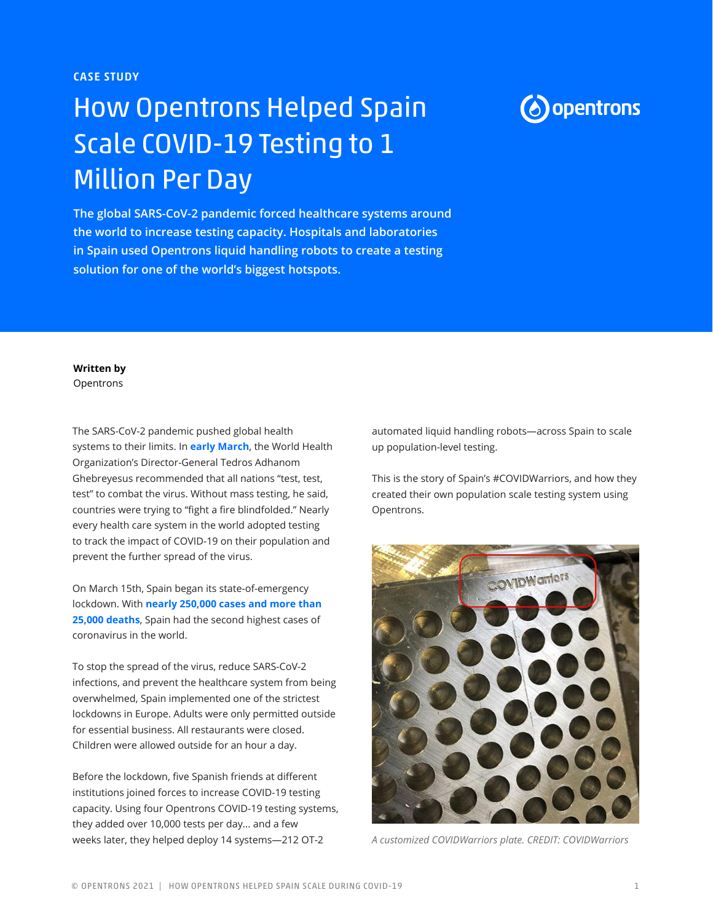CASE STUDY

# How Opentrons Helped Spain Scale COVID-19 Testing to 1 Million Per Day

**The global SARS-CoV-2 pandemic forced healthcare systems around the world to increase testing capacity. Hospitals and laboratories in Spain used Opentrons liquid handling robots to create a testing solution for one of the world's biggest hotspots.**

## **(b)** opentrons

**Written by**

Opentrons

The SARS-CoV-2 pandemic pushed global health systems to their limits. In **[early March](https://www.bbc.com/news/av/world-51916707)**, the World Health Organization's Director-General Tedros Adhanom Ghebreyesus recommended that all nations "test, test, test" to combat the virus. Without mass testing, he said, countries were trying to "fight a fire blindfolded." Nearly every health care system in the world adopted testing to track the impact of COVID-19 on their population and prevent the further spread of the virus.

On March 15th, Spain began its state-of-emergency lockdown. With **[nearly 250,000 cases and more than](https://www.forbes.com/sites/alexandrasternlicht/2020/05/03/after-strict-lockdown-spain-has-lowest-coronavirus-death-toll-in-6-weeks/#776ed2086d9c)  [25,000 deaths](https://www.forbes.com/sites/alexandrasternlicht/2020/05/03/after-strict-lockdown-spain-has-lowest-coronavirus-death-toll-in-6-weeks/#776ed2086d9c)**, Spain had the second highest cases of coronavirus in the world.

To stop the spread of the virus, reduce SARS-CoV-2 infections, and prevent the healthcare system from being overwhelmed, Spain implemented one of the strictest lockdowns in Europe. Adults were only permitted outside for essential business. All restaurants were closed. Children were allowed outside for an hour a day.

Before the lockdown, five Spanish friends at different institutions joined forces to increase COVID-19 testing capacity. Using four Opentrons COVID-19 testing systems, they added over 10,000 tests per day... and a few weeks later, they helped deploy 14 systems—212 OT-2

automated liquid handling robots—across Spain to scale up population-level testing.

This is the story of Spain's #COVIDWarriors, and how they created their own population scale testing system using Opentrons.



*A customized COVIDWarriors plate. CREDIT: COVIDWarriors*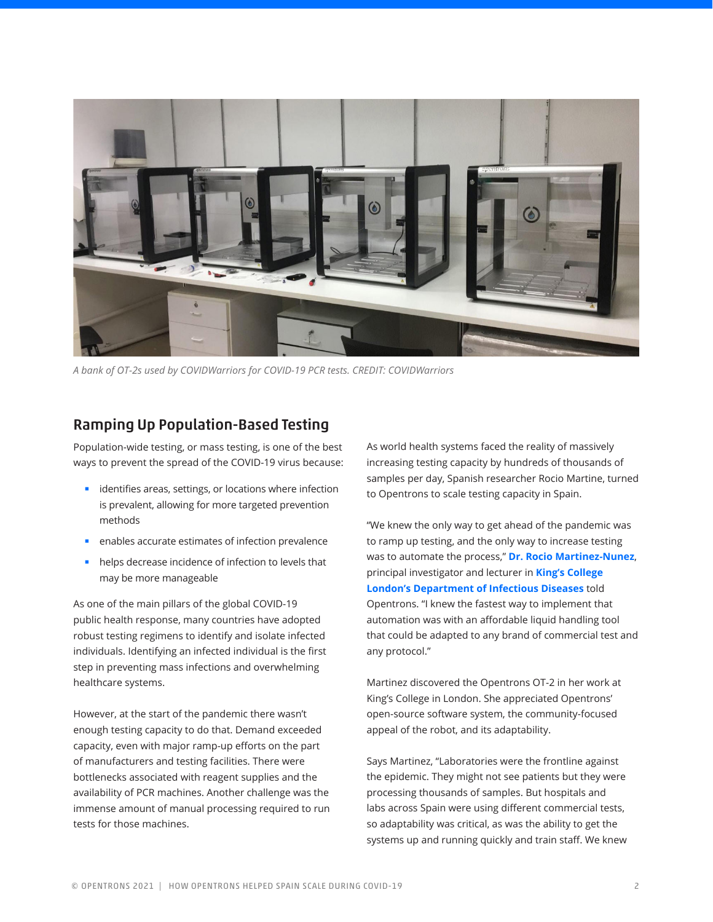

*A bank of OT-2s used by COVIDWarriors for COVID-19 PCR tests. CREDIT: COVIDWarriors*

### Ramping Up Population-Based Testing

Population-wide testing, or mass testing, is one of the best ways to prevent the spread of the COVID-19 virus because:

- identifies areas, settings, or locations where infection is prevalent, allowing for more targeted prevention methods
- enables accurate estimates of infection prevalence
- helps decrease incidence of infection to levels that may be more manageable

As one of the main pillars of the global COVID-19 public health response, many countries have adopted robust testing regimens to identify and isolate infected individuals. Identifying an infected individual is the first step in preventing mass infections and overwhelming healthcare systems.

However, at the start of the pandemic there wasn't enough testing capacity to do that. Demand exceeded capacity, even with major ramp-up efforts on the part of manufacturers and testing facilities. There were bottlenecks associated with reagent supplies and the availability of PCR machines. Another challenge was the immense amount of manual processing required to run tests for those machines.

As world health systems faced the reality of massively increasing testing capacity by hundreds of thousands of samples per day, Spanish researcher Rocio Martine, turned to Opentrons to scale testing capacity in Spain.

"We knew the only way to get ahead of the pandemic was to ramp up testing, and the only way to increase testing was to automate the process," **[Dr. Rocio Martinez-Nunez](https://www.kcl.ac.uk/people/rocio-teresa-martinez-nunez)**, principal investigator and lecturer in **[King's College](https://www.kcl.ac.uk/sims/our-departments/department-of-infectious-diseases/department-of-infectious-diseases)  [London's Department of Infectious Diseases](https://www.kcl.ac.uk/sims/our-departments/department-of-infectious-diseases/department-of-infectious-diseases)** told Opentrons. "I knew the fastest way to implement that automation was with an affordable liquid handling tool that could be adapted to any brand of commercial test and any protocol."

Martinez discovered the Opentrons OT-2 in her work at King's College in London. She appreciated Opentrons' open-source software system, the community-focused appeal of the robot, and its adaptability.

Says Martinez, "Laboratories were the frontline against the epidemic. They might not see patients but they were processing thousands of samples. But hospitals and labs across Spain were using different commercial tests, so adaptability was critical, as was the ability to get the systems up and running quickly and train staff. We knew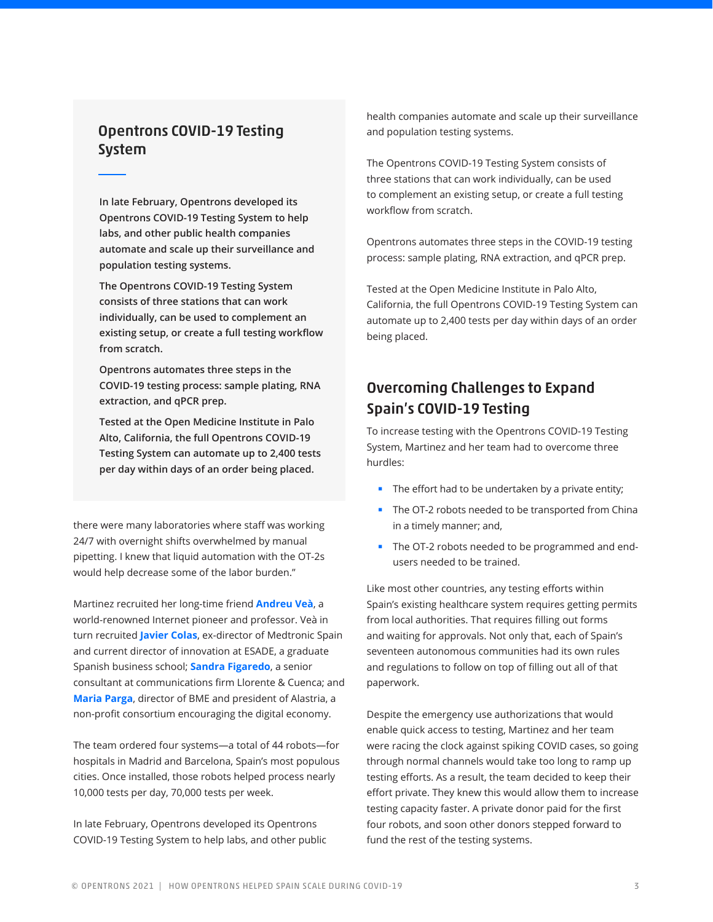### Opentrons COVID-19 Testing System

**In late February, Opentrons developed its Opentrons COVID-19 Testing System to help labs, and other public health companies automate and scale up their surveillance and population testing systems.**

**The Opentrons COVID-19 Testing System consists of three stations that can work individually, can be used to complement an existing setup, or create a full testing workflow from scratch.**

**Opentrons automates three steps in the COVID-19 testing process: sample plating, RNA extraction, and qPCR prep.** 

**Tested at the Open Medicine Institute in Palo Alto, California, the full Opentrons COVID-19 Testing System can automate up to 2,400 tests per day within days of an order being placed.**

there were many laboratories where staff was working 24/7 with overnight shifts overwhelmed by manual pipetting. I knew that liquid automation with the OT-2s would help decrease some of the labor burden."

Martinez recruited her long-time friend **[Andreu Veà](http://www.comocreamosinternet.com/en/about-the-author-andreu-vea)**, a world-renowned Internet pioneer and professor. Veà in turn recruited **[Javier Colas](https://www.linkedin.com/in/javiercolas/?originalSubdomain=es)**, ex-director of Medtronic Spain and current director of innovation at ESADE, a graduate Spanish business school; **[Sandra Figaredo](https://www.linkedin.com/in/sfigaredo/?originalSubdomain=es)**, a senior consultant at communications firm Llorente & Cuenca; and **[Maria Parga](https://www.linkedin.com/in/mar%C3%ADa-parga-04a97a5b/?originalSubdomain=es)**, director of BME and president of Alastria, a non-profit consortium encouraging the digital economy.

The team ordered four systems—a total of 44 robots—for hospitals in Madrid and Barcelona, Spain's most populous cities. Once installed, those robots helped process nearly 10,000 tests per day, 70,000 tests per week.

In late February, Opentrons developed its Opentrons COVID-19 Testing System to help labs, and other public health companies automate and scale up their surveillance and population testing systems.

The Opentrons COVID-19 Testing System consists of three stations that can work individually, can be used to complement an existing setup, or create a full testing workflow from scratch.

Opentrons automates three steps in the COVID-19 testing process: sample plating, RNA extraction, and qPCR prep.

Tested at the Open Medicine Institute in Palo Alto, California, the full Opentrons COVID-19 Testing System can automate up to 2,400 tests per day within days of an order being placed.

## Overcoming Challenges to Expand Spain's COVID-19 Testing

To increase testing with the Opentrons COVID-19 Testing System, Martinez and her team had to overcome three hurdles:

- The effort had to be undertaken by a private entity;
- The OT-2 robots needed to be transported from China in a timely manner; and,
- The OT-2 robots needed to be programmed and endusers needed to be trained.

Like most other countries, any testing efforts within Spain's existing healthcare system requires getting permits from local authorities. That requires filling out forms and waiting for approvals. Not only that, each of Spain's seventeen autonomous communities had its own rules and regulations to follow on top of filling out all of that paperwork.

Despite the emergency use authorizations that would enable quick access to testing, Martinez and her team were racing the clock against spiking COVID cases, so going through normal channels would take too long to ramp up testing efforts. As a result, the team decided to keep their effort private. They knew this would allow them to increase testing capacity faster. A private donor paid for the first four robots, and soon other donors stepped forward to fund the rest of the testing systems.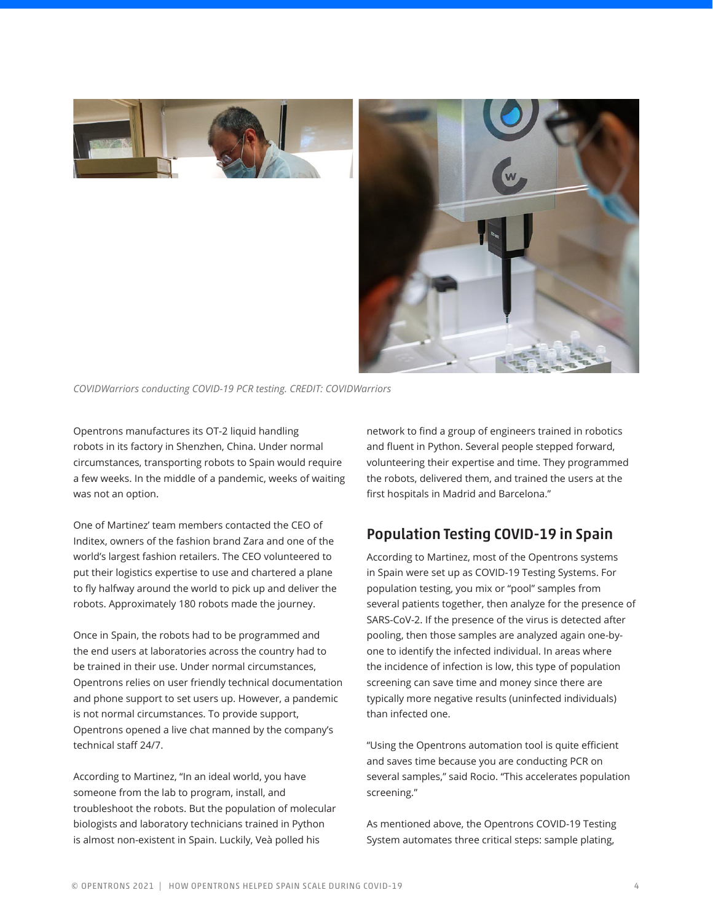

*COVIDWarriors conducting COVID-19 PCR testing. CREDIT: COVIDWarriors*

Opentrons manufactures its OT-2 liquid handling robots in its factory in Shenzhen, China. Under normal circumstances, transporting robots to Spain would require a few weeks. In the middle of a pandemic, weeks of waiting was not an option.

One of Martinez' team members contacted the CEO of Inditex, owners of the fashion brand Zara and one of the world's largest fashion retailers. The CEO volunteered to put their logistics expertise to use and chartered a plane to fly halfway around the world to pick up and deliver the robots. Approximately 180 robots made the journey.

Once in Spain, the robots had to be programmed and the end users at laboratories across the country had to be trained in their use. Under normal circumstances, Opentrons relies on user friendly technical documentation and phone support to set users up. However, a pandemic is not normal circumstances. To provide support, Opentrons opened a live chat manned by the company's technical staff 24/7.

According to Martinez, "In an ideal world, you have someone from the lab to program, install, and troubleshoot the robots. But the population of molecular biologists and laboratory technicians trained in Python is almost non-existent in Spain. Luckily, Veà polled his

network to find a group of engineers trained in robotics and fluent in Python. Several people stepped forward, volunteering their expertise and time. They programmed the robots, delivered them, and trained the users at the first hospitals in Madrid and Barcelona."

## Population Testing COVID-19 in Spain

According to Martinez, most of the Opentrons systems in Spain were set up as COVID-19 Testing Systems. For population testing, you mix or "pool" samples from several patients together, then analyze for the presence of SARS-CoV-2. If the presence of the virus is detected after pooling, then those samples are analyzed again one-byone to identify the infected individual. In areas where the incidence of infection is low, this type of population screening can save time and money since there are typically more negative results (uninfected individuals) than infected one.

"Using the Opentrons automation tool is quite efficient and saves time because you are conducting PCR on several samples," said Rocio. "This accelerates population screening."

As mentioned above, the Opentrons COVID-19 Testing System automates three critical steps: sample plating,